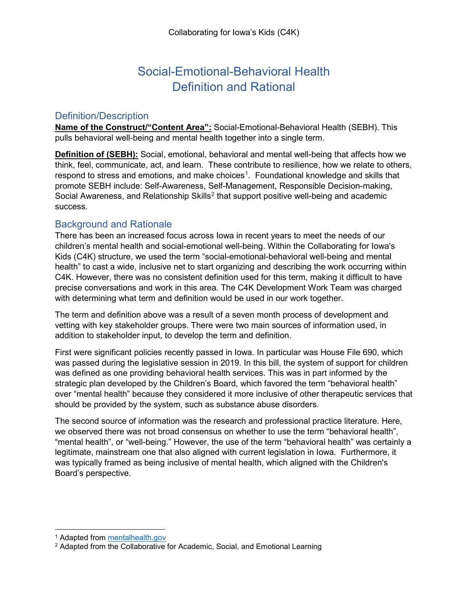# Social-Emotional-Behavioral Health Definition and Rational

#### Definition/Description

**Name of the Construct/"Content Area":** Social-Emotional-Behavioral Health (SEBH). This pulls behavioral well-being and mental health together into a single term.

**Definition of (SEBH):** Social, emotional, behavioral and mental well-being that affects how we think, feel, communicate, act, and learn. These contribute to resilience, how we relate to others, respond to stress and emotions, and make choices<sup>[1](#page-0-0)</sup>. Foundational knowledge and skills that promote SEBH include: Self-Awareness, Self-Management, Responsible Decision-making, Social Awareness, and Relationship Skills<sup>[2](#page-0-1)</sup> that support positive well-being and academic success.

### Background and Rationale

There has been an increased focus across Iowa in recent years to meet the needs of our children's mental health and social-emotional well-being. Within the Collaborating for Iowa's Kids (C4K) structure, we used the term "social-emotional-behavioral well-being and mental health" to cast a wide, inclusive net to start organizing and describing the work occurring within C4K. However, there was no consistent definition used for this term, making it difficult to have precise conversations and work in this area. The C4K Development Work Team was charged with determining what term and definition would be used in our work together.

The term and definition above was a result of a seven month process of development and vetting with key stakeholder groups. There were two main sources of information used, in addition to stakeholder input, to develop the term and definition.

First were significant policies recently passed in Iowa. In particular was House File 690, which was passed during the legislative session in 2019. In this bill, the system of support for children was defined as one providing behavioral health services. This was in part informed by the strategic plan developed by the Children's Board, which favored the term "behavioral health" over "mental health" because they considered it more inclusive of other therapeutic services that should be provided by the system, such as substance abuse disorders.

The second source of information was the research and professional practice literature. Here, we observed there was not broad consensus on whether to use the term "behavioral health", "mental health", or "well-being." However, the use of the term "behavioral health" was certainly a legitimate, mainstream one that also aligned with current legislation in Iowa. Furthermore, it was typically framed as being inclusive of mental health, which aligned with the Children's Board's perspective.

<span id="page-0-0"></span> <sup>1</sup> Adapted from [mentalhealth.gov](https://www.mentalhealth.gov/)

<span id="page-0-1"></span><sup>&</sup>lt;sup>2</sup> Adapted from the Collaborative for Academic, Social, and Emotional Learning